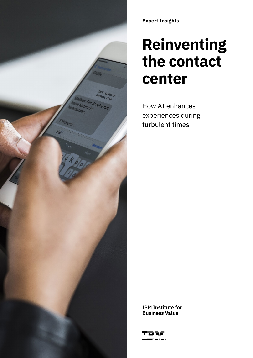

**Expert Insights** 

# **Reinventing the contact center**

How AI enhances experiences during turbulent times

**IBM Institute for Business Value** 

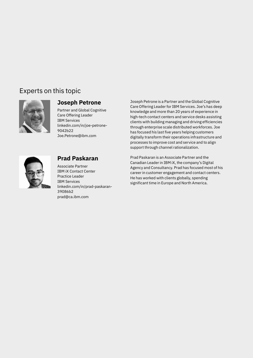### Experts on this topic





[39086b2](https://www.linkedin.com/in/prad-paskaran-39086b2/)  [prad@ca.ibm.com](mailto:prad@ca.ibm.com) 

**Joseph Petrone**<br>Care Offering Leader for IBM Services. Joe's has deep -<br>
Partner and Global Cognitive<br>
Care Offering Leader<br>
Care Offering Leader<br>
Care Offering Leader<br>
Care Offering Leader<br>
Anowledge and more than 20 years of experience in<br>
high-tech contact centers and service desks assist processes to improve cost and service and to align support through channel rationalization.

**Prad Paskaran** Prad Paskaran is an Associate Partner and the Canadian Leader in IBM iX. the company's Digital Associate Partner<br>
Associate Partner<br>
IBM iX Contact Center<br>
IBM iX Contact Center<br>
Practice Leader<br>
Practice Leader<br>
Practice Leader<br>
IBM Services<br>
IBM Services<br>
IBM Services<br>
Linkedin.com/in/prad-paskaran-<br>
Linkedin.com/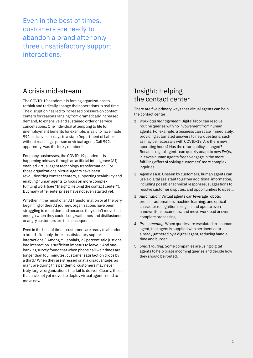Even in the best of times, customers are ready to abandon a brand after only three unsatisfactory support interactions.

### A crisis mid-stream

The COVID-19 pandemic is forcing organizations to rethink and radically change their operations in real time. The disruption has led to increased pressure on contact centers for reasons ranging from dramatically increased demand, to extensive and sustained order or service cancellations. One individual attempting to file for unemployment benefits for example, is said to have made 991 calls over six days to a state Department of Labor without reaching a person or virtual agent. Call 992, apparently, was the lucky number.<sup>1</sup>

For many businesses, the COVID-19 pandemic is happening midway through an artificial intelligence (AI) enabled virtual agent technology transformation. For those organizations, virtual agents have been revolutionizing contact centers, supporting scalability and enabling human agents to focus on more complex, fulfilling work (see "Insight: Helping the contact center"). But many other enterprises have not even started yet.

Whether in the midst of an AI transformation or at the very beginning of their AI journey, organizations have been struggling to meet demand because they didn't move fast enough when they could. Long wait times and disillusioned or angry customers are the consequence.

Even in the best of times, customers are ready to abandon a brand after only three unsatisfactory support interactions.2 Among Millennials, 22 percent said just one bad interaction is sufficient impetus to leave.<sup>3</sup> And one banking survey found that when phone call wait times are longer than four minutes, customer satisfaction drops by a third.4 When they are stressed or at a disadvantage, as many are during this pandemic, customers may never truly forgive organizations that fail to deliver. Clearly, those that have not yet moved to deploy virtual agents need to move now.

### Insight: Helping the contact center

There are five primary ways that virtual agents can help the contact center:

- 1. *Workload management:* Digital labor can resolve routine queries with no involvement from human agents. For example, a business can scale immediately, providing automated answers to new questions, such as may be necessary with COVID-19. Are there new operating hours? Has the return policy changed? Because digital agents can quickly adapt to new FAQs, it leaves human agents free to engage in the more fulfilling effort of solving customers' more complex inquiries.
- 2. *Agent assist:* Unseen by customers, human agents can use a digital assistant to gather additional information, including possible technical responses, suggestions to resolve customer disputes, and opportunities to upsell.
- 3. *Automation:* Virtual agents can leverage robotic process automation, machine learning, and optical character recognition to ingest and update even handwritten documents, and move workload or even complete processing.
- 4. *Pre-screening:* When queries are escalated to a human agent, that agent is supplied with pertinent data already gathered by a digital agent, reducing handle time and burden.
- 5. *Smart routing:* Some companies are using digital agents to help triage incoming queries and decide how they should be routed.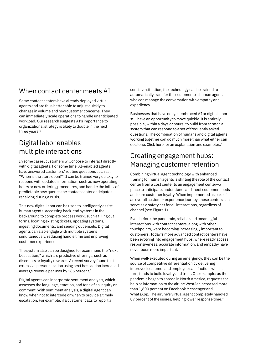### When contact center meets AI

Some contact centers have already deployed virtual agents and are thus better able to adjust quickly to changes in volume and new customer concerns. They can immediately scale operations to handle unanticipated workload. Our research suggests AI's importance to organizational strategy is likely to double in the next three years.<sup>5</sup>

### Digital labor enables multiple interactions

In some cases, customers will choose to interact directly with digital agents. For some time, AI-enabled agents have answered customers' routine questions such as, "When is the store open?" It can be trained very quickly to respond with updated information, such as new operating hours or new ordering procedures, and handle the influx of predictable new queries the contact center anticipates receiving during a crisis.

This new digital labor can be used to intelligently assist human agents, accessing back-end systems in the background to complete process work, such a filling out forms, locating existing tickets, updating systems, ingesting documents, and sending out emails. Digital agents can also engage with multiple systems simultaneously, reducing handle time and improving customer experience.

The system also can be designed to recommend the "next best action," which are predictive offerings, such as discounts or loyalty rewards. A recent survey found that extensive personalization using next best action increased average revenue per user by 166 percent.<sup>6</sup>

Digital agents can incorporate sentiment analysis, which assesses the language, emotion, and tone of an inquiry or comment. With sentiment analysis, a digital agent can know when not to intercede or when to provide a timely escalation. For example, if a customer calls to report a

sensitive situation, the technology can be trained to automatically transfer the customer to a human agent, who can manage the conversation with empathy and expediency.

Businesses that have not yet embraced AI or digital labor still have an opportunity to move quickly. It is entirely possible, within a days or hours, to build from scratch a system that can respond to a set of frequently asked questions. The combination of humans and digital agents working together can do much more than what either can do alone. Click [here](https://www.ibm.com/events/think/watch) for an explanation and examples.7

### Creating engagement hubs: Managing customer retention

Combining virtual agent technology with enhanced training for human agents is shifting the role of the contact center from a cost center to an engagement center—a place to anticipate, understand, and meet customer needs and earn customer loyalty. When implemented as part of an overall customer experience journey, these centers can serve as a safety net for all interactions, regardless of channel (see Figure 1).

Even before the pandemic, reliable and meaningful interactions with contact centers, along with other touchpoints, were becoming increasingly important to customers. Today's more advanced contact centers have been evolving into engagement hubs, where ready access, responsiveness, accurate information, and empathy have never been more important.

87 percent of the issues, helping lower response time.<sup>8</sup> When well-executed during an emergency, they can be the source of competitive differentiation by delivering improved customer and employee satisfaction, which, in turn, tends to build loyalty and trust. One example: as the pandemic began to spread in North America, requests for help or information to the airline WestJet increased more than 1,600 percent on Facebook Messenger and WhatsApp. The airline's virtual agent completely handled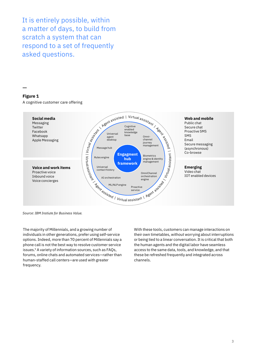It is entirely possible, within a matter of days, to build from scratch a system that can respond to a set of frequently asked questions.

#### **Figure 1**

A cognitive customer care offering



*Source: IBM Instiute for Business Value.* 

The majority of Millennials, and a growing number of individuals in other generations, prefer using self-service options. Indeed, more than 70 percent of Millennials say a phone call is not the best way to resolve customer service issues.9 A variety of information sources, such as FAQs, forums, online chats and automated services—rather than human-staffed call centers—are used with greater frequency.

With these tools, customers can manage interactions on their own timetables, without worrying about interruptions or being tied to a linear conversation. It is critical that both the human agents and the digital labor have seamless access to the same data, tools, and knowledge, and that these be refreshed frequently and integrated across channels.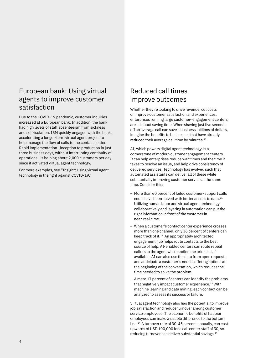### European bank: Using virtual agents to improve customer satisfaction

Due to the COVID-19 pandemic, customer inquiries increased at a European bank. In addition, the bank had high levels of staff absenteeism from sickness and self-isolation. IBM quickly engaged with the bank, accelerating a longer-term virtual agent project to help manage the flow of calls to the contact center. Rapid implementation—inception to production in just three business days, without interrupting continuity of operations—is helping about 2,000 customers per day since it activated virtual agent technology.

For more examples, see "Insight: Using virtual agent technology in the fight against COVID-19."

## Reduced call times improve outcomes

Whether they're looking to drive revenue, cut costs or improve customer satisfaction and experiences, enterprises running large customer- engagement centers are all about saving time. When shaving just five seconds off an average call can save a business millions of dollars, imagine the benefits to businesses that have already reduced their average call time by [minutes.10](https://minutes.10) 

AI, which powers digital agent technology, is a cornerstone of modern customer engagement centers. It can help enterprises reduce wait times and the time it takes to resolve an issue, and help drive consistency of delivered services. Technology has evolved such that automated assistants can deliver all of these while substantially improving customer service at the same time. Consider this:

- More than 60 percent of failed customer- support calls could have been solved with better access to data.<sup>11</sup> Utilizing human labor and virtual agent technology collaboratively and layering in automation can put the right information in front of the customer in near-real-time.
- When a customer's contact center experience crosses more than one channel, only 36 percent of centers can keep track of it.12 An appropriately architected engagement hub helps route contacts to the best source of help. AI-enabled centers can route repeat callers to the agent who handled the prior call, if available. AI can also use the data from open requests and anticipate a customer's needs, offering options at the beginning of the conversation, which reduces the time needed to solve the problem.
- A mere 17 percent of centers can identify the problems that negatively impact customer experience.<sup>13</sup> With machine learning and data mining, each contact can be analyzed to assess its success or failure.

Virtual agent technology also has the potential to improve job satisfaction and reduce turnover among customer service employees. The economic benefits of happier employees can make a sizable difference to the bottom line.14 A turnover rate of 30-45 percent annually, can cost upwards of USD 100,000 for a call center staff of 50, so reducing turnover can deliver substantial [savings.15](https://savings.15)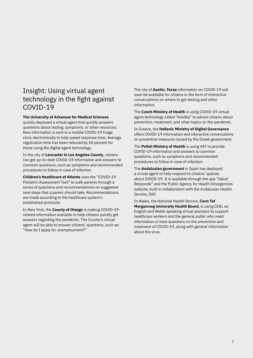### Insight: Using virtual agent technology in the fight against COVID-19

#### **The University of Arkansas for Medical Sciences**

quickly deployed a virtual agent that quickly answers questions about testing, symptoms, or other resources. New information is sent to a mobile COVID-19 triage clinic electronically to help speed response time. Average registration time has been reduced by 50 percent for those using the digital agent technology.

In the city of **Lancaster in Los Angeles County**, citizens can get up-to-date COVID-19 information and answers to common questions, such as symptoms and recommended procedures to follow in case of infection.

**Children's Healthcare of Atlanta** uses the "COVID-19 Pediatric Assessment Tool" to walk parents through a series of questions and recommendations on suggested next steps that a parent should take. Recommendations are made according to the healthcare system's established protocols.

In New York, the **County of Otsego** is making COVID-19 related information available to help citizens quickly get answers regarding the pandemic. The County's virtual agent will be able to answer citizens' questions, such as: "How do I apply for unemployment?"

The city of **Austin, Texas** information on COVID-19 will soon be available for citizens in the form of interactive conversations on where to get testing and other information.

The **Czech Ministry of Health** is using COVID-19 virtual agent technology called "Anežka" to advise citizens about prevention, treatment, and other topics on the pandemic.

In Greece, the **Hellenic Ministry of Digital Governance**  offers COVID-19 information and interactive conversations on preventive measures issued by the Greek government.

The **Polish Ministry of Health** is using VAT to provide COVID-19 information and answers to common questions, such as symptoms and recommended procedures to follow in case of infection.

The **Andalusian government** in Spain has deployed a virtual agent to help respond to citizens' queries about COVID-19. It is available through the app "Salud Responde" and the Public Agency for Health Emergencies website, built in collaboration with the Andalusian Health Service, SAS.

In Wales, the National Health Service, **Cwm Taf Morgannwg University Health Board**, is using CERi, an English and Welsh speaking virtual assistant to support healthcare workers and the general public who need information or have questions on the prevention and treatment of COVID-19, along with general information about the virus.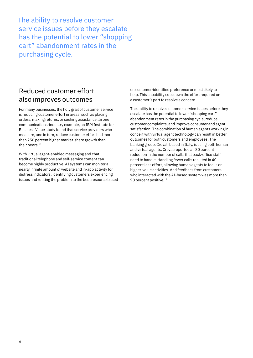The ability to resolve customer service issues before they escalate has the potential to lower "shopping cart" abandonment rates in the purchasing cycle.

### Reduced customer effort also improves outcomes

For many businesses, the holy grail of customer service is reducing customer effort in areas, such as placing orders, making returns, or seeking assistance. In one communications-industry example, an IBM Institute for Business Value study found that service providers who measure, and in turn, reduce customer effort had more than 250 percent higher market-share growth than their peers.<sup>16</sup>

With virtual agent-enabled messaging and chat, traditional telephone and self-service content can become highly productive. AI systems can monitor a nearly infinite amount of website and in-app activity for distress indicators, identifying customers experiencing issues and routing the problem to the best resource based

on customer-identified preference or most likely to help. This capability cuts down the effort required on a customer's part to resolve a concern.

The ability to resolve customer service issues before they escalate has the potential to lower "shopping cart" abandonment rates in the purchasing cycle, reduce customer complaints, and improve consumer and agent satisfaction. The combination of human agents working in concert with virtual agent technology can result in better outcomes for both customers and employees. The banking group, Creval, based in Italy, is using both human and virtual agents. Creval reported an 80 percent reduction in the number of calls that back-office staff need to handle. Handling fewer calls resulted in 40 percent less effort, allowing human agents to focus on higher-value activities. And feedback from customers who interacted with the AI-based system was more than 90 percent positive.<sup>17</sup>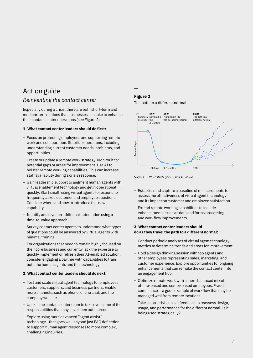# Action guide

### *Reinventing the contact center*

Especially during a crisis, there are both short-term and medium-term actions that businesses can take to enhance their contact center operations (see Figure 2).

#### **1. What contact center leaders should do first:**

- Focus on protecting employees and supporting remote work and collaboration. Stabilize operations, including understanding current customer needs, problems, and opportunities.
- Create or update a remote work strategy. Monitor it for potential gaps or areas for improvement. Use AI to bolster remote working capabilities. This can increase staff availability during a crisis response.
- Gain leadership support to augment human agents with virtual enablement technology and get it operational quickly. Start small, using virtual agents to respond to frequently asked customer and employee questions. Consider where and how to introduce this new capability.
- Identify and layer on additional automation using a time-to-value approach.
- Survey contact center agents to understand what types of questions could be answered by virtual agents with minimal training.
- For organizations that need to remain highly focused on their core business and currently lack the expertise to quickly implement or refresh their AI-enabled solution, consider engaging a partner with capabilities to train both the human agents and the technology.

#### **2. What contact center leaders should do next:**

- Test and scale virtual agent technology for employees, customers, suppliers, and business partners. Enable more channels, such as phone, online chat, and the company website.
- Upskill the contact center team to take over some of the responsibilities that may have been outsourced.
- Explore using more advanced "agent assist" technology—that goes well beyond just FAQ deflection to support human agent responses to more complex, challenging inquiries.

### **Figure 2**

The path to a different normal





- Establish and capture a baseline of measurements to assess the effectiveness of virtual agent technology and its impact on customer and employee satisfaction.
- Extend remote working capabilities to include enhancements, such as data and forms processing, and workflow improvements.

#### **3. What contact center leaders should do as they travel the path to a different normal:**

- Conduct periodic analyses of virtual agent technology metrics to determine trends and areas for improvement.
- Hold a design thinking session with top agents and other employees representing sales, marketing, and customer experience. Explore opportunities for ongoing enhancements that can remake the contact center into an engagement hub.
- Optimize remote work with a more balanced mix of offsite-based and center-based employees. Fraud compliance is a good example of workflow that may be managed well from remote locations.
- Take a non-crisis look at feedback to reassess design, usage, and performance for the different normal. Is it being used strategically?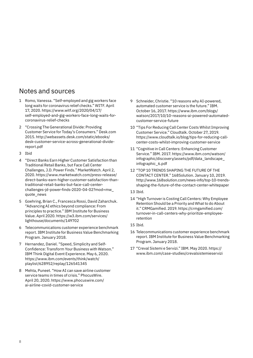### Notes and sources

- 1 Romo, Vanessa. "Self-employed and gig workers face long waits for coronavirus relief checks." WITF. April 17, 2020. [https://www.witf.org/2020/04/17/](https://www.witf.org/2020/04/17/self-employed-and-gig-workers-face-long-waits-for-coronavirus-relief-checks/) [self-employed-and-gig-workers-face-long-waits-for](https://www.witf.org/2020/04/17/self-employed-and-gig-workers-face-long-waits-for-coronavirus-relief-checks/)[coronavirus-relief-checks](https://www.witf.org/2020/04/17/self-employed-and-gig-workers-face-long-waits-for-coronavirus-relief-checks/)
- 2 "Crossing The Generational Divide: Providing Customer Service for Today's Consumers." [Desk.com](https://Desk.com) 2015. [http://webassets.desk.com/static/ebooks/](http://webassets.desk.com/static/ebooks/desk-customer-service-across-generational-divide-report.pdf)  [desk-customer-service-across-generational-divide](http://webassets.desk.com/static/ebooks/desk-customer-service-across-generational-divide-report.pdf)[report.pdf](http://webassets.desk.com/static/ebooks/desk-customer-service-across-generational-divide-report.pdf)
- 3 Ibid
- 4 "Direct Banks Earn Higher Customer Satisfaction than Traditional Retail Banks, but Face Call Center Challenges, J.D. Power Finds." MarketWatch. April 2, 2020. [https://www.marketwatch.com/press-release/](https://www.marketwatch.com/press-release/direct-banks-earn-higher-customer-satisfaction-than-traditional-retail-banks-but-face-call-center-challenges-jd-power-finds-2020-04-02?mod=mw_quote_news) [direct-banks-earn-higher-customer-satisfaction-than](https://www.marketwatch.com/press-release/direct-banks-earn-higher-customer-satisfaction-than-traditional-retail-banks-but-face-call-center-challenges-jd-power-finds-2020-04-02?mod=mw_quote_news)[traditional-retail-banks-but-face-call-center](https://www.marketwatch.com/press-release/direct-banks-earn-higher-customer-satisfaction-than-traditional-retail-banks-but-face-call-center-challenges-jd-power-finds-2020-04-02?mod=mw_quote_news)[challenges-jd-power-finds-2020-04-02?mod=mw\\_](https://www.marketwatch.com/press-release/direct-banks-earn-higher-customer-satisfaction-than-traditional-retail-banks-but-face-call-center-challenges-jd-power-finds-2020-04-02?mod=mw_quote_news)  [quote\\_news](https://www.marketwatch.com/press-release/direct-banks-earn-higher-customer-satisfaction-than-traditional-retail-banks-but-face-call-center-challenges-jd-power-finds-2020-04-02?mod=mw_quote_news)
- 5 Goehring, Brian C., Francesca Rossi, David Zaharchuk. "Advancing AI ethics beyond compliance: From principles to practice." IBM Institute for Business Value. April 2020. [https://w3.ibm.com/services/](https://w3.ibm.com/services/lighthouse/documents/149702) [lighthouse/documents/149702](https://w3.ibm.com/services/lighthouse/documents/149702)
- 6 Telecommunications customer experience benchmark report. IBM Institute for Business Value Benchmarking Program. January 2018.
- 7 Hernandez, Daniel. "Speed, Simplicity and Self-Confidence: Transform Your Business with Watson." IBM Think Digital Event Experience. May 6, 2020. <https://www.ibm.com/events/think/watch>/ playlist/628952/replay/126541345
- 8 Mehta, Puneet. "How AI can save airline customer service teams in times of crisis." PhocusWire. April 20, 2020. [https://www.phocuswire.com/](https://www.phocuswire.com/ai-airline-covid-customer-service)  [ai-airline-covid-customer-service](https://www.phocuswire.com/ai-airline-covid-customer-service)
- 9 Schneider, Christie. "10 reasons why AI-powered, automated customer service is the future." IBM. October 16, 2017. [https://www.ibm.com/blogs/](https://www.ibm.com/blogs/watson/2017/10/10-reasons-ai-powered-automated-customer-service-future)  [watson/2017/10/10-reasons-ai-powered-automated](https://www.ibm.com/blogs/watson/2017/10/10-reasons-ai-powered-automated-customer-service-future)[customer-service-future](https://www.ibm.com/blogs/watson/2017/10/10-reasons-ai-powered-automated-customer-service-future)
- 10 "Tips For Reducing Call Center Costs Whilst Improving Customer Service." Cloudtalk. October 27, 2019. [https://www.cloudtalk.io/blog/tips-for-reducing-call](https://www.cloudtalk.io/blog/tips-for-reducing-call-center-costs-whilst-improving-customer-service)[center-costs-whilst-improving-customer-service](https://www.cloudtalk.io/blog/tips-for-reducing-call-center-costs-whilst-improving-customer-service)
- 11 "Cognitive in Call Centers: Enhancing Customer Service." IBM. 2017. [https://www.ibm.com/watson/](https://www.ibm.com/watson/infographic/discovery/assets/pdf/data_landscape_infographic_6.pdf)  [infographic/discovery/assets/pdf/data\\_landscape\\_](https://www.ibm.com/watson/infographic/discovery/assets/pdf/data_landscape_infographic_6.pdf)  [infographic\\_6.pdf](https://www.ibm.com/watson/infographic/discovery/assets/pdf/data_landscape_infographic_6.pdf)
- 12 "TOP 10 TRENDS SHAPING THE FUTURE OF THE CONTACT CENTER." 168Solution. January 10, 2019. [http://www.168solution.com/news-info/top-10-trends](http://www.168solution.com/news-info/top-10-trends-shaping-the-future-of-the-contact-center-whitepaper)[shaping-the-future-of-the-contact-center-whitepaper](http://www.168solution.com/news-info/top-10-trends-shaping-the-future-of-the-contact-center-whitepaper)
- 13 Ibid.
- 14 "High Turnover is Costing Call Centers: Why Employee Retention Should be a Priority and What to do About it." CRMGamified. 2019. [https://crmgamified.com/](https://crmgamified.com/turnover-in-call-centers-why-prioritize-employee-retention)  [turnover-in-call-centers-why-prioritize-employee](https://crmgamified.com/turnover-in-call-centers-why-prioritize-employee-retention)[retention](https://crmgamified.com/turnover-in-call-centers-why-prioritize-employee-retention)
- 15 Ibid.
- 16 Telecommunications customer experience benchmark report. IBM Institute for Business Value Benchmarking Program. January 2018.
- 17 "Creval Sistemi e Servizi." IBM. May 2020. [https://](https://www.ibm.com/case-studies/crevalsistemieservizi)  [www.ibm.com/case-studies/crevalsistemieservizi](https://www.ibm.com/case-studies/crevalsistemieservizi)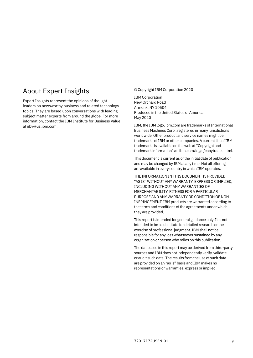### About Expert Insights

Expert Insights represent the opinions of thought leaders on newsworthy business and related technology topics. They are based upon conversations with leading subject matter experts from around the globe. For more information, contact the IBM Institute for Business Value at [iibv@us.ibm.com](mailto:iibv%40us.ibm.com?subject=).

#### © Copyright IBM Corporation 2020

IBM Corporation New Orchard Road Armonk, NY 10504 Produced in the United States of America May 2020

IBM, the IBM logo, [ibm.com](http://www.ibm.com) are trademarks of International Business Machines Corp., registered in many jurisdictions worldwide. Other product and service names might be trademarks of IBM or other companies. A current list of IBM trademarks is available on the web at "Copyright and trademark information" at: [ibm.com/legal/copytrade.shtml.](http://www.ibm.com/legal/copytrade.shtml)

This document is current as of the initial date of publication and may be changed by IBM at any time. Not all offerings are available in every country in which IBM operates.

THE INFORMATION IN THIS DOCUMENT IS PROVIDED "AS IS" WITHOUT ANY WARRANTY, EXPRESS OR IMPLIED, INCLUDING WITHOUT ANY WARRANTIES OF MERCHANTABILITY, FITNESS FOR A PARTICULAR PURPOSE AND ANY WARRANTY OR CONDITION OF NON-INFRINGEMENT. IBM products are warranted according to the terms and conditions of the agreements under which they are provided.

This report is intended for general guidance only. It is not intended to be a substitute for detailed research or the exercise of professional judgment. IBM shall not be responsible for any loss whatsoever sustained by any organization or person who relies on this publication.

The data used in this report may be derived from third-party sources and IBM does not independently verify, validate or audit such data. The results from the use of such data are provided on an "as is" basis and IBM makes no representations or warranties, express or implied.